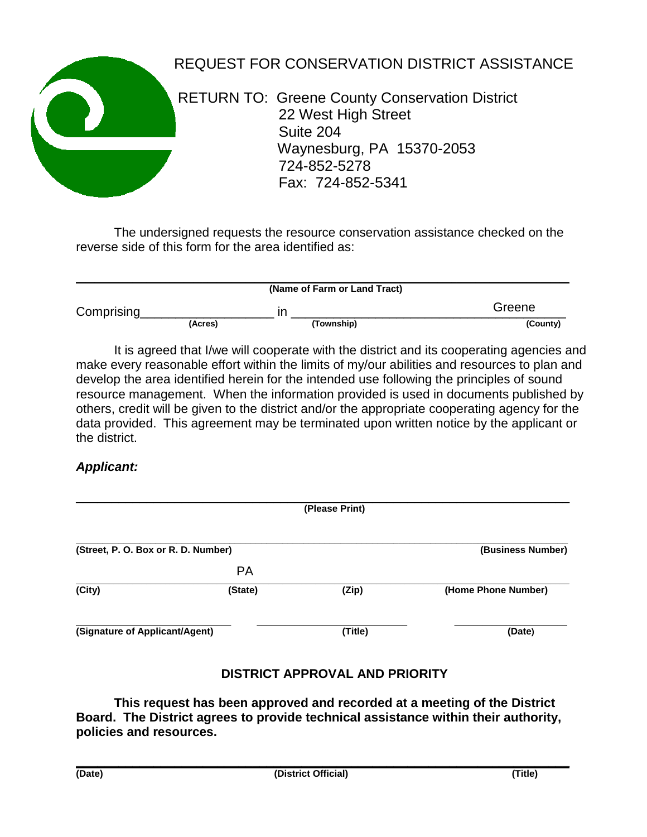

## REQUEST FOR CONSERVATION DISTRICT ASSISTANCE

 RETURN TO: Greene County Conservation District 22 West High Street Suite 204 Waynesburg, PA 15370-2053 724-852-5278 Fax: 724-852-5341

The undersigned requests the resource conservation assistance checked on the reverse side of this form for the area identified as:

|            |         | (Name of Farm or Land Tract) |          |
|------------|---------|------------------------------|----------|
| Comprising |         | ın                           | Greene   |
|            | (Acres) | (Township)                   | (County) |

It is agreed that I/we will cooperate with the district and its cooperating agencies and make every reasonable effort within the limits of my/our abilities and resources to plan and develop the area identified herein for the intended use following the principles of sound resource management. When the information provided is used in documents published by others, credit will be given to the district and/or the appropriate cooperating agency for the data provided. This agreement may be terminated upon written notice by the applicant or the district.

## *Applicant:*

|                                     |           | (Please Print) |                     |
|-------------------------------------|-----------|----------------|---------------------|
| (Street, P. O. Box or R. D. Number) |           |                | (Business Number)   |
|                                     | <b>PA</b> |                |                     |
| (City)                              | (State)   | (Zip)          | (Home Phone Number) |
| (Signature of Applicant/Agent)      |           | (Title)        | (Date)              |

## **DISTRICT APPROVAL AND PRIORITY**

**This request has been approved and recorded at a meeting of the District Board. The District agrees to provide technical assistance within their authority, policies and resources.**